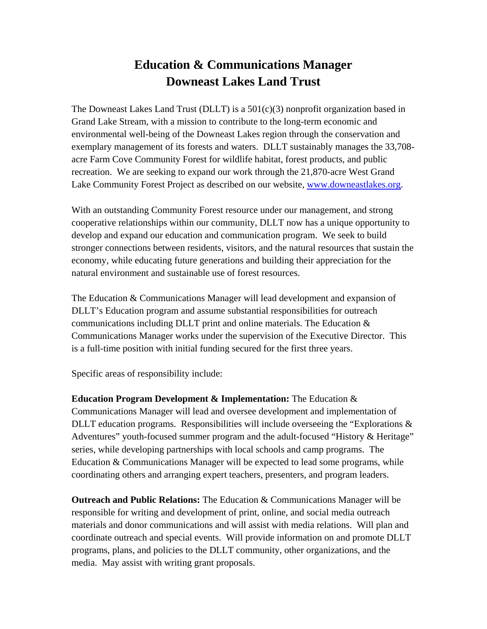## **Education & Communications Manager Downeast Lakes Land Trust**

The Downeast Lakes Land Trust (DLLT) is a 501(c)(3) nonprofit organization based in Grand Lake Stream, with a mission to contribute to the long-term economic and environmental well-being of the Downeast Lakes region through the conservation and exemplary management of its forests and waters. DLLT sustainably manages the 33,708 acre Farm Cove Community Forest for wildlife habitat, forest products, and public recreation. We are seeking to expand our work through the 21,870-acre West Grand Lake Community Forest Project as described on our website, www.downeastlakes.org.

With an outstanding Community Forest resource under our management, and strong cooperative relationships within our community, DLLT now has a unique opportunity to develop and expand our education and communication program. We seek to build stronger connections between residents, visitors, and the natural resources that sustain the economy, while educating future generations and building their appreciation for the natural environment and sustainable use of forest resources.

The Education & Communications Manager will lead development and expansion of DLLT's Education program and assume substantial responsibilities for outreach communications including DLLT print and online materials. The Education & Communications Manager works under the supervision of the Executive Director. This is a full-time position with initial funding secured for the first three years.

Specific areas of responsibility include:

**Education Program Development & Implementation:** The Education & Communications Manager will lead and oversee development and implementation of DLLT education programs. Responsibilities will include overseeing the "Explorations  $\&$ Adventures" youth-focused summer program and the adult-focused "History & Heritage" series, while developing partnerships with local schools and camp programs. The Education & Communications Manager will be expected to lead some programs, while coordinating others and arranging expert teachers, presenters, and program leaders.

**Outreach and Public Relations:** The Education & Communications Manager will be responsible for writing and development of print, online, and social media outreach materials and donor communications and will assist with media relations. Will plan and coordinate outreach and special events. Will provide information on and promote DLLT programs, plans, and policies to the DLLT community, other organizations, and the media. May assist with writing grant proposals.